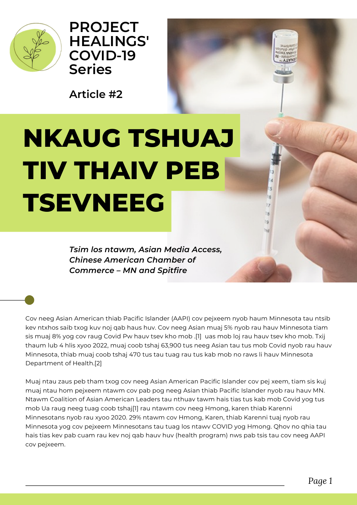

**PROJECT HEALINGS' COVID-19 Series**

**Article #2**

# **NKAUG TSHUAJ TIV THAIV PEB TSEVNEEG**

*Tsim los ntawm, Asian Media Access, Chinese American Chamber of Commerce – MN and Spitfire*

Cov neeg Asian American thiab Pacific Islander (AAPI) cov pejxeem nyob haum Minnesota tau ntsib kev ntxhos saib txog kuv noj qab haus huv. Cov neeg Asian muaj 5% nyob rau hauv Minnesota tiam sis muaj 8% yog cov raug Covid Pw [hauv](https://caalmn.org/wp-content/uploads/2021/04/CAAL-HPHA-Covid-Report-Fin-041921.pdf) tsev kho mob .[1] uas mob loj rau hauv tsev kho mob. Txij thaum lub 4 hlis xyoo 2022, muaj coob tshaj 63,900 tus neeg Asian tau tus mob Covid nyob rau hauv Minnesota, thiab muaj coob tshaj 470 tus tau tuag rau tus kab mob no raws li hauv Minnesota [Department](https://www.health.state.mn.us/diseases/coronavirus/situation.html#raceeth1) of Health.[2]

Muaj ntau zaus peb tham txog cov neeg Asian American Pacific Islander cov pej xeem, tiam sis kuj muaj ntau hom pejxeem ntawm cov pab pog neeg Asian thiab Pacific Islander nyob rau hauv MN. Ntawm Coalition of Asian American Leaders tau nthuav tawm hais tias tus kab mob Covid yog tus mob Ua raug neeg tuag coob tshaj[1] rau ntawm cov neeg Hmong, karen thiab Karenni [Minnesotans](https://caalmn.org/wp-content/uploads/2021/04/CAAL-HPHA-Covid-Report-Fin-041921.pdf) nyob rau xyoo 2020. 29% ntawm cov Hmong, Karen, thiab Karenni tuaj nyob rau Minnesota yog cov pejxeem Minnesotans tau tuag los ntawv COVID yog Hmong. Qhov no qhia tau hais tias kev pab cuam rau kev noj qab hauv huv (health program) nws pab tsis tau cov neeg AAPI cov pejxeem[.](https://caalmn.org/wp-content/uploads/2021/04/CAAL-HPHA-Covid-Report-Fin-041921.pdf)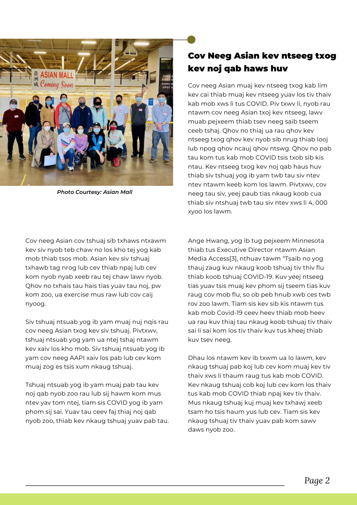

*Photo Courtesy: Asian Mall*

Cov neeg Asian cov tshuaj sib txhaws ntxawm kev siv nyob teb chaw no los kho tej yog kab mob thiab tsos mob. Asian kev siv tshuaj txhawb tag nrog lub cev thiab npaj lub cev kom nyob nyab xeeb rau tej chaw lawv nyob. Qhov no txhais tau hais tias yuav tau noj, pw kom zoo, ua exercise mus raw lub cov caij nyoog.

Siv tshuaj ntsuab yog ib yam muaj nuj nqis rau cov neeg Asian txog kev siv tshuaj. Pivtxwv, tshuaj ntsuab yog yam ua ntej tshaj ntawm kev xaiv los kho mob. Siv tshuaj ntsuab yog ib yam cov neeg AAPI xaiv los pab lub cev kom muaj zog es tsis xum nkaug tshuaj.

Tshuaj ntsuab yog ib yam muaj pab tau kev noj qab nyob zoo rau lub sij hawm kom mus ntev yav tom ntej, tiam sis COVID yog ib yam phom sij sai. Yuav tau ceev faj thiaj noj qab nyob zoo, thiab kev nkaug tshuaj yuav pab tau.

## Cov Neeg Asian kev ntseeg txog kev noj qab haws huv

Cov neeg Asian muaj kev ntseeg txog kab lim kev cai thiab muaj kev ntseeg yuav los tiv thaiv kab mob xws li tus COVID. Piv txwv li, nyob rau ntawm cov neeg Asian txoj kev ntseeg, lawv muab pejxeem thiab tsev neeg saib tseem ceeb tshaj. Qhov no thiaj ua rau qhov kev ntseeg txog qhov kev nyob sib nrug thiab looj lub npog qhov ncauj qhov ntswg. Qhov no pab tau kom tus kab mob COVID tsis txob sib kis ntau. Kev ntseeg txog kev noj qab haus huv thiab siv tshuaj yog ib yam twb tau siv ntev ntev ntawm keeb kom los lawm. Pivtxwv, cov neeg tau siv, yeej paub tias nkaug koob cua thiab siv ntshuaj twb tau siv ntev xws li 4, 000 xyoo los lawm.

Ange Hwang, yog ib tug pejxeem Minnesota thiab tus [Executive](http://www.amamedia.org/) Director ntawm Asian Media Access[3], nthuav tawm "Tsaib no yog thauj zaug kuv nkaug koob tshuaj tiv thiv flu thiab koob tshuaj COVID-19. Kuv yeej ntseeg tias yuav tsis muaj kev phom sij tseem tias kuv raug cov mob flu, so ob peb hnub xwb ces twb rov zoo lawm. Tiam sis kev sib kis ntawm tus kab mob Covid-19 ceev heev thiab mob heev ua rau kuv thiaj tau nkaug koob tshuaj tiv thaiv sai li sai kom los tiv thaiv kuv tus kheej thiab kuv tsev neeg.

Dhau los ntawm kev ib txwm ua lo lawm, kev nkaug tshuaj pab koj lub cev kom muaj kev tiv thaiv xws li thaum raug tus kab mob COVID. Kev nkaug tshuaj cob koj lub cev kom los thaiv tus kab mob COVID thiab npaj kev tiv thaiv. Mus nkaug tshuaj kuj muaj kev txhawj xeeb tsam ho tsis haum yus lub cev. Tiam sis kev nkaug tshuaj tiv thaiv yuav pab kom sawv daws nyob zoo.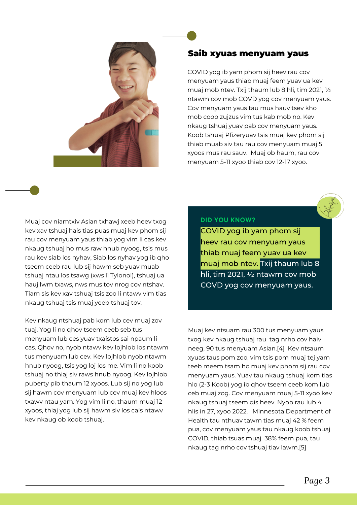

#### Saib xyuas menyuam yaus

COVID yog ib yam phom sij heev rau cov menyuam yaus thiab muaj feem yuav ua kev muaj mob ntev. Txij thaum lub 8 hli, tim 2021, ½ ntawm cov mob COVD yog cov menyuam yaus. Cov menyuam yaus tau mus hauv tsev kho mob coob zujzus vim tus kab mob no. Kev nkaug tshuaj yuav pab cov menyuam yaus. Koob tshuaj Pfizeryuav tsis muaj kev phom sij thiab muab siv tau rau cov menyuam muaj 5 xyoos mus rau sauv. Muaj ob haum, rau cov menyuam 5-11 xyoo thiab cov 12-17 xyoo.

Muaj cov niamtxiv Asian txhawj xeeb heev txog kev xav tshuaj hais tias puas muaj kev phom sij rau cov menyuam yaus thiab yog vim li cas kev nkaug tshuaj ho mus raw hnub nyoog, tsis mus rau kev siab los nyhav, Siab los nyhav yog ib qho tseem ceeb rau lub sij hawm seb yuav muab tshuaj ntau los tsawg (xws li Tylonol), tshuaj ua hauj lwm txaws, nws mus tov nrog cov ntshav. Tiam sis kev xav tshuaj tsis zoo li ntawv vim tias nkaug tshuaj tsis muaj yeeb tshuaj tov.

Kev nkaug ntshuaj pab kom lub cev muaj zov tuaj. Yog li no qhov tseem ceeb seb tus menyuam lub ces yuav txaistos sai npaum li cas. Qhov no, nyob ntawv kev lojhlob los ntawm tus menyuam lub cev. Kev lojhlob nyob ntawm hnub nyoog, tsis yog loj los me. Vim li no koob tshuaj no thiaj siv raws hnub nyoog. Kev lojhlob puberty pib thaum 12 xyoos. Lub sij no yog lub sij hawm cov menyuam lub cev muaj kev hloos txawv ntau yam. Yog vim li no, thaum muaj 12 xyoos, thiaj yog lub sij hawm siv los cais ntawv kev nkaug ob koob tshuaj.

#### DID YOU KNOW?

COVID yog ib yam phom sij heev rau cov menyuam yaus thiab muaj feem yuav ua kev muaj mob ntev. Txij thaum lub 8 hli, tim 2021, ½ ntawm cov mob COVD yog cov menyuam yaus.

Muaj kev ntsuam rau 300 tus [menyuam](https://www.mayoclinic.org/diseases-conditions/coronavirus/in-depth/covid-19-vaccines-for-kids/art-20513332) yaus txog kev nkaug tshuaj rau tag nrho cov haiv neeg, 90 tus [menyuam](https://www.cdc.gov/vaccines/acip/meetings/downloads/slides-2021-11-2-3/02-COVID-Gurtman-508.pdf) Asian.[4] Kev ntsaum xyuas taus pom zoo, vim tsis pom muaj tej yam teeb meem tsam ho muaj kev phom sij rau cov menyuam yaus. Yuav tau nkaug tshuaj kom tias hlo (2-3 Koob) yog ib qhov tseem ceeb kom lub ceb muaj zog. Cov menyuam muaj 5-11 xyoo kev nkaug tshuaj tseem qis heev. Nyob rau lub 4 hlis in 27, xyoo 2022, Minnesota [Department](https://mn.gov/covid19/vaccine/data/index.jsp) of Health tau nthuav tawm tias muaj 42 % feem pua, cov menyuam yaus tau nkaug koob tshuaj COVID, thiab tsuas muaj 38% feem pua, tau nkaug tag nrho cov tshuaj tiav lawm.[5]